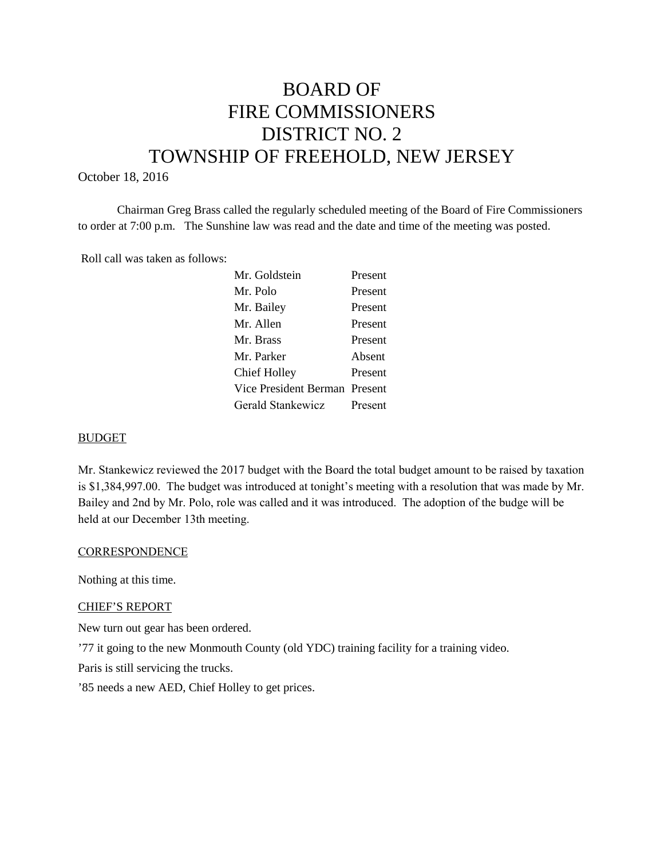# BOARD OF FIRE COMMISSIONERS DISTRICT NO. 2 TOWNSHIP OF FREEHOLD, NEW JERSEY

#### October 18, 2016

Chairman Greg Brass called the regularly scheduled meeting of the Board of Fire Commissioners to order at 7:00 p.m. The Sunshine law was read and the date and time of the meeting was posted.

Roll call was taken as follows:

| Mr. Goldstein                 | Present |
|-------------------------------|---------|
| Mr. Polo                      | Present |
| Mr. Bailey                    | Present |
| Mr. Allen                     | Present |
| Mr. Brass                     | Present |
| Mr. Parker                    | Absent  |
| <b>Chief Holley</b>           | Present |
| Vice President Berman Present |         |
| Gerald Stankewicz             | Present |
|                               |         |

### BUDGET

Mr. Stankewicz reviewed the 2017 budget with the Board the total budget amount to be raised by taxation is \$1,384,997.00. The budget was introduced at tonight's meeting with a resolution that was made by Mr. Bailey and 2nd by Mr. Polo, role was called and it was introduced. The adoption of the budge will be held at our December 13th meeting.

#### **CORRESPONDENCE**

Nothing at this time.

#### CHIEF'S REPORT

New turn out gear has been ordered.

'77 it going to the new Monmouth County (old YDC) training facility for a training video.

Paris is still servicing the trucks.

'85 needs a new AED, Chief Holley to get prices.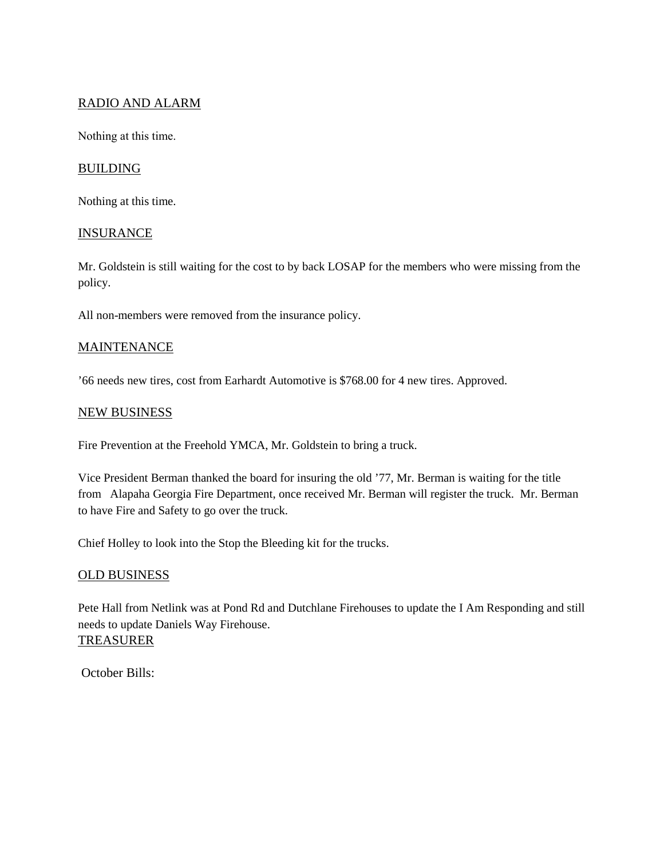# RADIO AND ALARM

Nothing at this time.

# **BUILDING**

Nothing at this time.

## **INSURANCE**

Mr. Goldstein is still waiting for the cost to by back LOSAP for the members who were missing from the policy.

All non-members were removed from the insurance policy.

## **MAINTENANCE**

'66 needs new tires, cost from EarhardtAutomotive is \$768.00 for 4 new tires. Approved.

## NEW BUSINESS

Fire Prevention at the Freehold YMCA, Mr. Goldstein to bring a truck.

Vice President Berman thanked the board for insuring the old '77, Mr. Berman is waiting for the title from Alapaha Georgia Fire Department, once received Mr. Berman will register the truck. Mr. Berman to have Fire and Safety to go over the truck.

Chief Holley to look into the Stop the Bleeding kit for the trucks.

# OLD BUSINESS

Pete Hall from Netlink was at Pond Rd and Dutchlane Firehouses to update the I Am Responding and still needs to update Daniels Way Firehouse. TREASURER

October Bills: